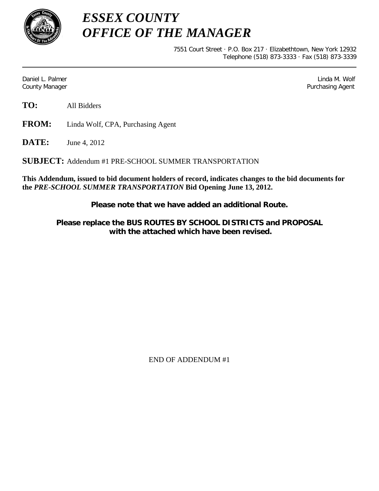

*ESSEX COUNTY OFFICE OF THE MANAGER*

> 7551 Court Street · P.O. Box 217 · Elizabethtown, New York 12932 Telephone (518) 873-3333 · Fax (518) 873-3339

Daniel L. Palmer Later and the control of the control of the control of the control of the control of the control of the control of the control of the control of the control of the control of the control of the control of County Manager Purchasing Agent

**TO:** All Bidders

**FROM:** Linda Wolf, CPA, Purchasing Agent

**DATE:** June 4, 2012

**SUBJECT:** Addendum #1 PRE-SCHOOL SUMMER TRANSPORTATION

**This Addendum, issued to bid document holders of record, indicates changes to the bid documents for the** *PRE-SCHOOL SUMMER TRANSPORTATION* **Bid Opening June 13, 2012.**

**Please note that we have added an additional Route.**

**Please replace the BUS ROUTES BY SCHOOL DISTRICTS and PROPOSAL with the attached which have been revised.**

END OF ADDENDUM #1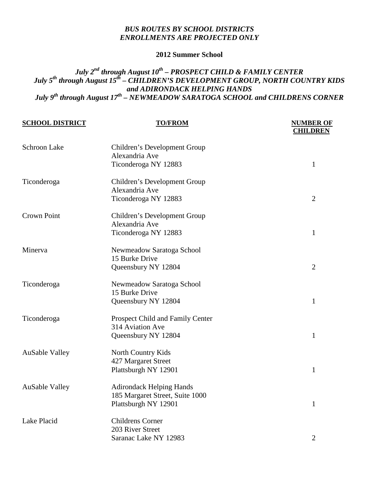## *BUS ROUTES BY SCHOOL DISTRICTS ENROLLMENTS ARE PROJECTED ONLY*

### **2012 Summer School**

# *July 2nd through August 10th – PROSPECT CHILD & FAMILY CENTER July 5th through August 15th – CHILDREN'S DEVELOPMENT GROUP, NORTH COUNTRY KIDS and ADIRONDACK HELPING HANDS July 9th through August 17th – NEWMEADOW SARATOGA SCHOOL and CHILDRENS CORNER*

| <b>SCHOOL DISTRICT</b> | <b>TO/FROM</b>                   | <b>NUMBER OF</b><br><b>CHILDREN</b> |
|------------------------|----------------------------------|-------------------------------------|
| Schroon Lake           | Children's Development Group     |                                     |
|                        | Alexandria Ave                   |                                     |
|                        | Ticonderoga NY 12883             | $\mathbf{1}$                        |
| Ticonderoga            | Children's Development Group     |                                     |
|                        | Alexandria Ave                   |                                     |
|                        | Ticonderoga NY 12883             | $\overline{2}$                      |
| <b>Crown Point</b>     | Children's Development Group     |                                     |
|                        | Alexandria Ave                   |                                     |
|                        | Ticonderoga NY 12883             | $\mathbf{1}$                        |
| Minerva                | Newmeadow Saratoga School        |                                     |
|                        | 15 Burke Drive                   |                                     |
|                        | Queensbury NY 12804              | $\overline{2}$                      |
| Ticonderoga            | Newmeadow Saratoga School        |                                     |
|                        | 15 Burke Drive                   |                                     |
|                        | Queensbury NY 12804              | $\mathbf{1}$                        |
| Ticonderoga            | Prospect Child and Family Center |                                     |
|                        | 314 Aviation Ave                 |                                     |
|                        | Queensbury NY 12804              | $\mathbf{1}$                        |
| <b>AuSable Valley</b>  | North Country Kids               |                                     |
|                        | 427 Margaret Street              |                                     |
|                        | Plattsburgh NY 12901             | $\mathbf{1}$                        |
| <b>AuSable Valley</b>  | <b>Adirondack Helping Hands</b>  |                                     |
|                        | 185 Margaret Street, Suite 1000  |                                     |
|                        | Plattsburgh NY 12901             | $\mathbf{1}$                        |
| Lake Placid            | <b>Childrens Corner</b>          |                                     |
|                        | 203 River Street                 |                                     |
|                        | Saranac Lake NY 12983            | $\overline{2}$                      |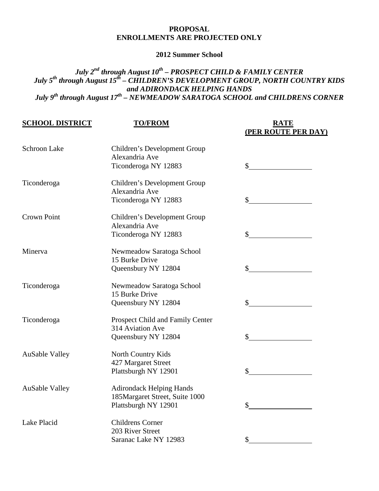### **PROPOSAL ENROLLMENTS ARE PROJECTED ONLY**

#### **2012 Summer School**

# *July 2nd through August 10th – PROSPECT CHILD & FAMILY CENTER July 5th through August 15th – CHILDREN'S DEVELOPMENT GROUP, NORTH COUNTRY KIDS and ADIRONDACK HELPING HANDS July 9th through August 17th – NEWMEADOW SARATOGA SCHOOL and CHILDRENS CORNER*

| <b>SCHOOL DISTRICT</b> | <b>TO/FROM</b>                   | <b>RATE</b><br>(PER ROUTE PER DAY) |
|------------------------|----------------------------------|------------------------------------|
| <b>Schroon Lake</b>    | Children's Development Group     |                                    |
|                        | Alexandria Ave                   |                                    |
|                        | Ticonderoga NY 12883             |                                    |
| Ticonderoga            | Children's Development Group     |                                    |
|                        | Alexandria Ave                   |                                    |
|                        | Ticonderoga NY 12883             | \$                                 |
| <b>Crown Point</b>     | Children's Development Group     |                                    |
|                        | Alexandria Ave                   |                                    |
|                        | Ticonderoga NY 12883             | \$                                 |
| Minerva                | Newmeadow Saratoga School        |                                    |
|                        | 15 Burke Drive                   |                                    |
|                        | Queensbury NY 12804              | \$                                 |
| Ticonderoga            | Newmeadow Saratoga School        |                                    |
|                        | 15 Burke Drive                   |                                    |
|                        | Queensbury NY 12804              | \$                                 |
| Ticonderoga            | Prospect Child and Family Center |                                    |
|                        | 314 Aviation Ave                 |                                    |
|                        | Queensbury NY 12804              |                                    |
| <b>AuSable Valley</b>  | North Country Kids               |                                    |
|                        | 427 Margaret Street              |                                    |
|                        | Plattsburgh NY 12901             | \$                                 |
| <b>AuSable Valley</b>  | <b>Adirondack Helping Hands</b>  |                                    |
|                        | 185Margaret Street, Suite 1000   |                                    |
|                        | Plattsburgh NY 12901             | \$                                 |
| Lake Placid            | <b>Childrens Corner</b>          |                                    |
|                        | 203 River Street                 |                                    |
|                        | Saranac Lake NY 12983            | \$                                 |